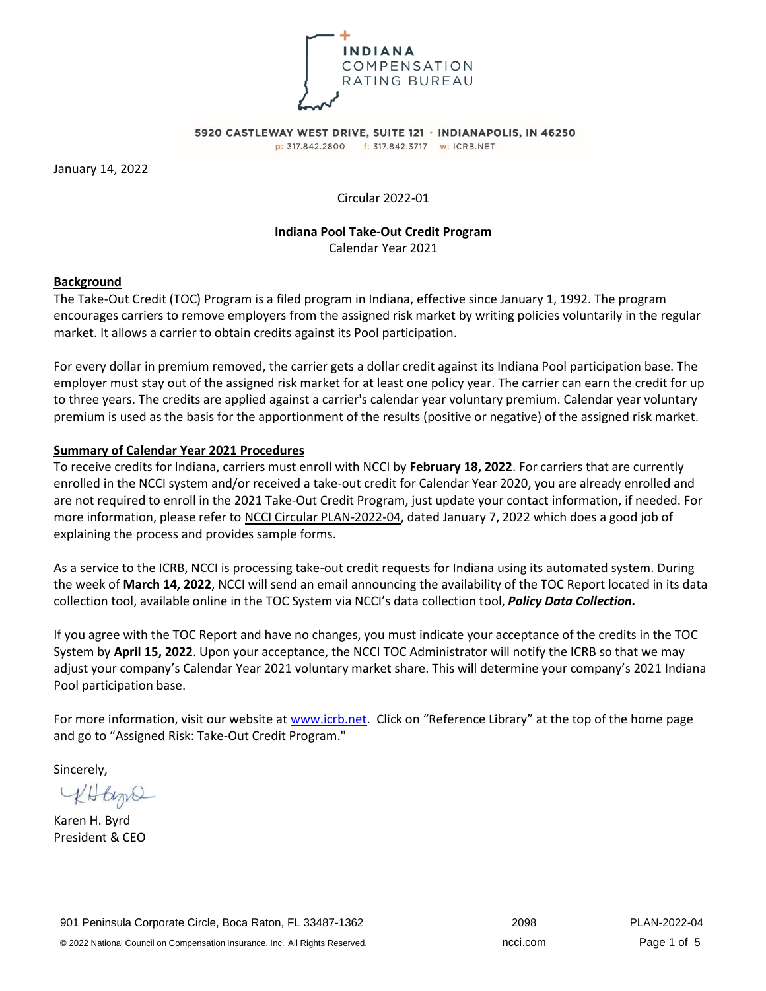

5920 CASTLEWAY WEST DRIVE, SUITE 121 · INDIANAPOLIS, IN 46250 p: 317.842.2800 f: 317.842.3717 w: ICRB.NET

January 14, 2022

Circular 2022-01

## **Indiana Pool Take-Out Credit Program**

Calendar Year 2021

# **Background**

The Take-Out Credit (TOC) Program is a filed program in Indiana, effective since January 1, 1992. The program encourages carriers to remove employers from the assigned risk market by writing policies voluntarily in the regular market. It allows a carrier to obtain credits against its Pool participation.

For every dollar in premium removed, the carrier gets a dollar credit against its Indiana Pool participation base. The employer must stay out of the assigned risk market for at least one policy year. The carrier can earn the credit for up to three years. The credits are applied against a carrier's calendar year voluntary premium. Calendar year voluntary premium is used as the basis for the apportionment of the results (positive or negative) of the assigned risk market.

## **Summary of Calendar Year 2021 Procedures**

To receive credits for Indiana, carriers must enroll with NCCI by **February 18, 2022**. For carriers that are currently enrolled in the NCCI system and/or received a take-out credit for Calendar Year 2020, you are already enrolled and are not required to enroll in the 2021 Take-Out Credit Program, just update your contact information, if needed. For more information, please refer to NCCI Circular PLAN-2022-04, dated January 7, 2022 which does a good job of explaining the process and provides sample forms.

As a service to the ICRB, NCCI is processing take-out credit requests for Indiana using its automated system. During the week of **March 14, 2022**, NCCI will send an email announcing the availability of the TOC Report located in its data collection tool, available online in the TOC System via NCCI's data collection tool, *Policy Data Collection.*

If you agree with the TOC Report and have no changes, you must indicate your acceptance of the credits in the TOC System by **April 15, 2022**. Upon your acceptance, the NCCI TOC Administrator will notify the ICRB so that we may adjust your company's Calendar Year 2021 voluntary market share. This will determine your company's 2021 Indiana Pool participation base.

For more information, visit our website at [www.icrb.net](http://www.icrb.net/). Click on "Reference Library" at the top of the home page and go to "Assigned Risk: Take-Out Credit Program."

Sincerely,

KHtype

Karen H. Byrd President & CEO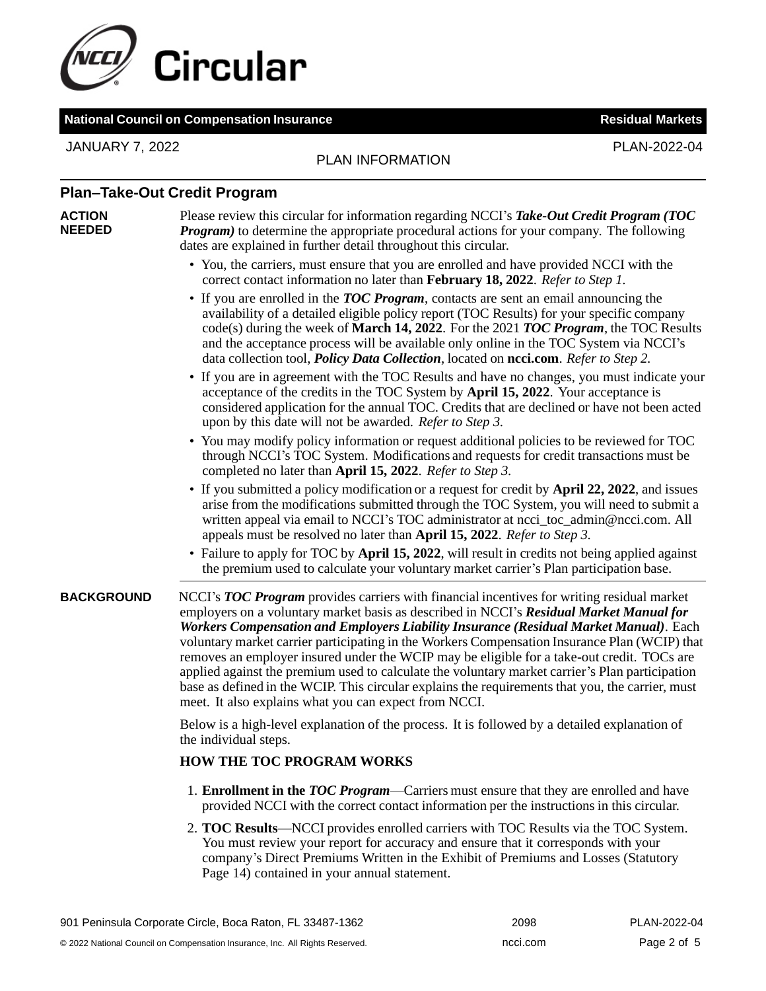

# **National Council on Compensation Insurance Residual Markets**

JANUARY 7, 2022 PLAN-2022-04

# PLAN INFORMATION

# **Plan–Take-Out Credit Program**

#### **ACTION NEEDED**

Please review this circular for information regarding NCCI's *Take-Out Credit Program (TOC Program*) to determine the appropriate procedural actions for your company. The following dates are explained in further detail throughout this circular.

- You, the carriers, must ensure that you are enrolled and have provided NCCI with the correct contact information no later than **February 18, 2022**. *Refer to Step 1.*
- If you are enrolled in the *TOC Program*, contacts are sent an email announcing the availability of a detailed eligible policy report (TOC Results) for your specific company code(s) during the week of **March 14, 2022**. For the 2021 *TOC Program*, the TOC Results and the acceptance process will be available only online in the TOC System via NCCI's data collection tool, *Policy Data Collection*, located on **ncci.com**. *Refer to Step 2.*
- If you are in agreement with the TOC Results and have no changes, you must indicate your acceptance of the credits in the TOC System by **April 15, 2022**. Your acceptance is considered application for the annual TOC. Credits that are declined or have not been acted upon by this date will not be awarded. *Refer to Step 3.*
- You may modify policy information or request additional policies to be reviewed for TOC through NCCI's TOC System. Modifications and requests for credit transactions must be completed no later than **April 15, 2022**. *Refer to Step 3.*
- If you submitted a policy modification or a request for credit by **April 22, 2022**, and issues arise from the modifications submitted through the TOC System, you will need to submit a written appeal via email to NCCI's TOC administrator at ncci toc admin@ncci.com. All appeals must be resolved no later than **April 15, 2022**. *Refer to Step 3.*
- Failure to apply for TOC by **April 15, 2022**, will result in credits not being applied against the premium used to calculate your voluntary market carrier's Plan participation base.

**BACKGROUND** NCCI's *TOC Program* provides carriers with financial incentives for writing residual market employers on a voluntary market basis as described in NCCI's *Residual Market Manual for Workers Compensation and Employers Liability Insurance (Residual Market Manual)*. Each voluntary market carrier participating in the Workers Compensation Insurance Plan (WCIP) that removes an employer insured under the WCIP may be eligible for a take-out credit. TOCs are applied against the premium used to calculate the voluntary market carrier's Plan participation base as defined in the WCIP. This circular explains the requirements that you, the carrier, must meet. It also explains what you can expect from NCCI.

> Below is a high-level explanation of the process. It is followed by a detailed explanation of the individual steps.

# **HOW THE TOC PROGRAM WORKS**

- 1. **Enrollment in the** *TOC Program*—Carriers must ensure that they are enrolled and have provided NCCI with the correct contact information per the instructions in this circular.
- 2. **TOC Results**—NCCI provides enrolled carriers with TOC Results via the TOC System. You must review your report for accuracy and ensure that it corresponds with your company's Direct Premiums Written in the Exhibit of Premiums and Losses (Statutory Page 14) contained in your annual statement.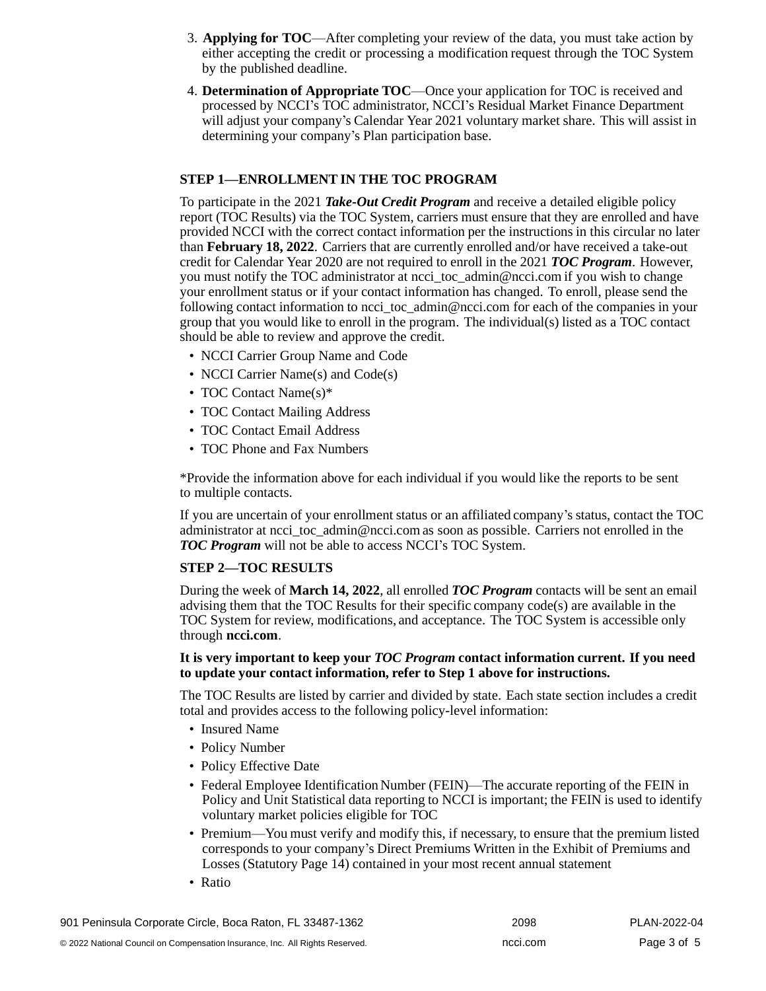- 3. **Applying for TOC**—After completing your review of the data, you must take action by either accepting the credit or processing a modification request through the TOC System by the published deadline.
- 4. **Determination of Appropriate TOC**—Once your application for TOC is received and processed by NCCI's TOC administrator, NCCI's Residual Market Finance Department will adjust your company's Calendar Year 2021 voluntary market share. This will assist in determining your company's Plan participation base.

# **STEP 1—ENROLLMENT IN THE TOC PROGRAM**

To participate in the 2021 *Take-Out Credit Program* and receive a detailed eligible policy report (TOC Results) via the TOC System, carriers must ensure that they are enrolled and have provided NCCI with the correct contact information per the instructions in this circular no later than **February 18, 2022**. Carriers that are currently enrolled and/or have received a take-out credit for Calendar Year 2020 are not required to enroll in the 2021 *TOC Program*. However, you must notify the TOC administrator at ncci toc admin@ncci.com if you wish to change your enrollment status or if your contact information has changed. To enroll, please send the following contact information to ncci toc admin@ncci.com for each of the companies in your group that you would like to enroll in the program. The individual(s) listed as a TOC contact should be able to review and approve the credit.

- NCCI Carrier Group Name and Code
- NCCI Carrier Name(s) and Code(s)
- TOC Contact Name(s)\*
- TOC Contact Mailing Address
- TOC Contact Email Address
- TOC Phone and Fax Numbers

\*Provide the information above for each individual if you would like the reports to be sent to multiple contacts.

If you are uncertain of your enrollment status or an affiliated company's status, contact the TOC administrator at [ncci\\_toc\\_admin@ncci.com](mailto:ncci_toc_admin@ncci.com) as soon as possible. Carriers not enrolled in the *TOC Program* will not be able to access NCCI's TOC System.

#### **STEP 2—TOC RESULTS**

During the week of **March 14, 2022**, all enrolled *TOC Program* contacts will be sent an email advising them that the TOC Results for their specific company code(s) are available in the TOC System for review, modifications, and acceptance. The TOC System is accessible only through **ncci.com**.

#### **It is very important to keep your** *TOC Program* **contact information current. If you need to update your contact information, refer to Step 1 above for instructions.**

The TOC Results are listed by carrier and divided by state. Each state section includes a credit total and provides access to the following policy-level information:

- Insured Name
- Policy Number
- Policy Effective Date
- Federal Employee Identification Number (FEIN)—The accurate reporting of the FEIN in Policy and Unit Statistical data reporting to NCCI is important; the FEIN is used to identify voluntary market policies eligible for TOC
- Premium—You must verify and modify this, if necessary, to ensure that the premium listed corresponds to your company's Direct Premiums Written in the Exhibit of Premiums and Losses (Statutory Page 14) contained in your most recent annual statement
- Ratio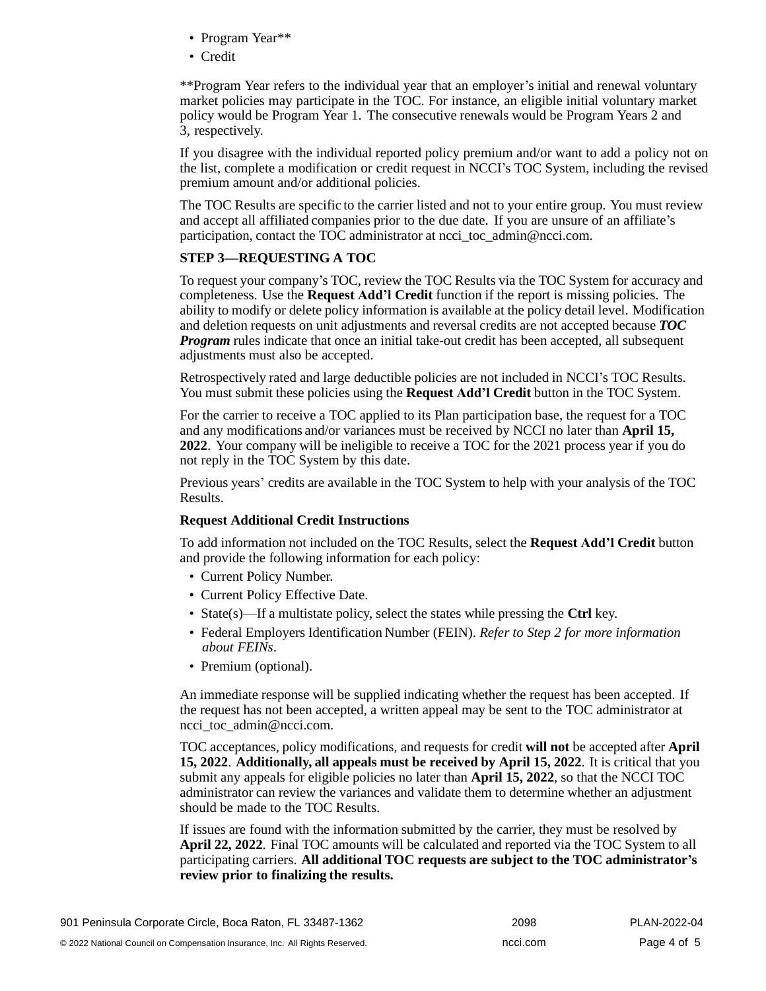- Program Year\*\*
- Credit

\*\*Program Year refers to the individual year that an employer's initial and renewal voluntary market policies may participate in the TOC. For instance, an eligible initial voluntary market policy would be Program Year 1. The consecutive renewals would be Program Years 2 and 3, respectively.

If you disagree with the individual reported policy premium and/or want to add a policy not on the list, complete a modification or credit request in NCCI's TOC System, including the revised premium amount and/or additional policies.

The TOC Results are specific to the carrier listed and not to your entire group. You must review and accept all affiliated companies prior to the due date. If you are unsure of an affiliate's participation, contact the TOC administrator at ncci toc admin@ncci.com.

# **STEP 3—REQUESTING A TOC**

To request your company's TOC, review the TOC Results via the TOC System for accuracy and completeness. Use the **Request Add'l Credit** function if the report is missing policies. The ability to modify or delete policy information is available at the policy detail level. Modification and deletion requests on unit adjustments and reversal credits are not accepted because *TOC Program* rules indicate that once an initial take-out credit has been accepted, all subsequent adjustments must also be accepted.

Retrospectively rated and large deductible policies are not included in NCCI's TOC Results. You must submit these policies using the **Request Add'l Credit** button in the TOC System.

For the carrier to receive a TOC applied to its Plan participation base, the request for a TOC and any modifications and/or variances must be received by NCCI no later than **April 15, 2022**. Your company will be ineligible to receive a TOC for the 2021 process year if you do not reply in the TOC System by this date.

Previous years' credits are available in the TOC System to help with your analysis of the TOC Results.

#### **Request Additional Credit Instructions**

To add information not included on the TOC Results, select the **Request Add'l Credit** button and provide the following information for each policy:

- Current Policy Number.
- Current Policy Effective Date.
- State(s)—If a multistate policy, select the states while pressing the **Ctrl** key.
- Federal Employers Identification Number (FEIN). *Refer to Step 2 for more information about FEINs*.
- Premium (optional).

An immediate response will be supplied indicating whether the request has been accepted. If the request has not been accepted, a written appeal may be sent to the TOC administrator a[t](mailto:ncci_toc_admin@ncci.com) ncci toc admin@ncci.com.

TOC acceptances, policy modifications, and requests for credit **will not** be accepted after **April 15, 2022**. **Additionally, all appeals must be received by April 15, 2022**. It is critical that you submit any appeals for eligible policies no later than **April 15, 2022**, so that the NCCI TOC administrator can review the variances and validate them to determine whether an adjustment should be made to the TOC Results.

If issues are found with the information submitted by the carrier, they must be resolved by **April 22, 2022**. Final TOC amounts will be calculated and reported via the TOC System to all participating carriers. **All additional TOC requests are subject to the TOC administrator's review prior to finalizing the results.**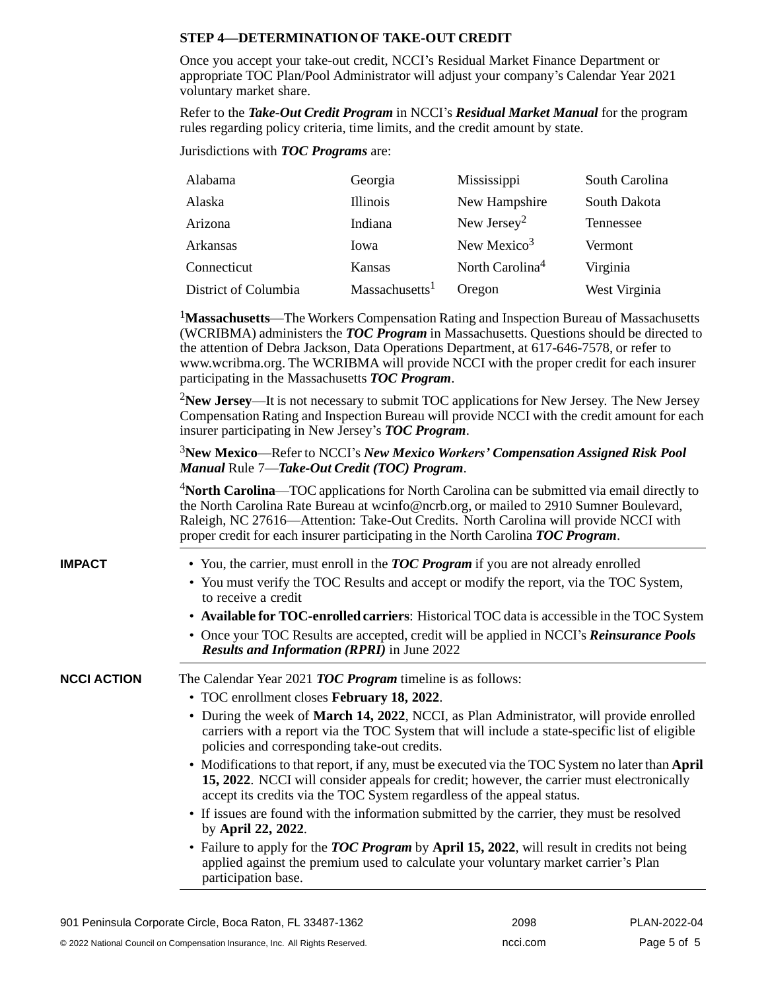# **STEP 4—DETERMINATIONOF TAKE-OUT CREDIT**

Once you accept your take-out credit, NCCI's Residual Market Finance Department or appropriate TOC Plan/Pool Administrator will adjust your company's Calendar Year 2021 voluntary market share.

Refer to the *Take-Out Credit Program* in NCCI's *Residual Market Manual* for the program rules regarding policy criteria, time limits, and the credit amount by state.

Jurisdictions with *TOC Programs* are:

| Alabama              | Georgia                    | Mississippi                 | South Carolina |
|----------------------|----------------------------|-----------------------------|----------------|
| Alaska               | Illinois                   | New Hampshire               | South Dakota   |
| Arizona              | Indiana                    | New Jersey <sup>2</sup>     | Tennessee      |
| Arkansas             | Iowa                       | New Mexico <sup>3</sup>     | Vermont        |
| Connecticut          | Kansas                     | North Carolina <sup>4</sup> | Virginia       |
| District of Columbia | Massachusetts <sup>1</sup> | Oregon                      | West Virginia  |

<sup>1</sup>**Massachusetts**—The Workers Compensation Rating and Inspection Bureau of Massachusetts (WCRIBMA) administers the *TOC Program* in Massachusetts. Questions should be directed to the attention of Debra Jackson, Data Operations Department, at 617-646-7578, or refer t[o](http://www.wcribma.org/) [www.wcribma.org.](http://www.wcribma.org/) The WCRIBMA will provide NCCI with the proper credit for each insurer participating in the Massachusetts *TOC Program*.

<sup>2</sup>**New Jersey**—It is not necessary to submit TOC applications for New Jersey. The New Jersey Compensation Rating and Inspection Bureau will provide NCCI with the credit amount for each insurer participating in New Jersey's *TOC Program*.

## <sup>3</sup>**New Mexico**—Refer to NCCI's *New Mexico Workers' Compensation Assigned Risk Pool Manual* Rule 7—*Take-Out Credit (TOC) Program*.

<sup>4</sup>**North Carolina**—TOC applications for North Carolina can be submitted via email directly to the North Carolina Rate Bureau at [wcinfo@ncrb.org,](mailto:wcinfo@ncrb.org) or mailed to 2910 Sumner Boulevard, Raleigh, NC 27616—Attention: Take-Out Credits. North Carolina will provide NCCI with proper credit for each insurer participating in the North Carolina *TOC Program*.

- **IMPACT** You, the carrier, must enroll in the *TOC Program* if you are not already enrolled
	- You must verify the TOC Results and accept or modify the report, via the TOC System, to receive a credit
	- **Available for TOC-enrolled carriers**: Historical TOC data is accessible in the TOC System
	- Once your TOC Results are accepted, credit will be applied in NCCI's *Reinsurance Pools Results and Information (RPRI)* in June 2022

**NCCI ACTION** The Calendar Year 2021 *TOC Program* timeline is as follows:

- TOC enrollment closes **February 18, 2022**.
- During the week of **March 14, 2022**, NCCI, as Plan Administrator, will provide enrolled carriers with a report via the TOC System that will include a state-specific list of eligible policies and corresponding take-out credits.
- Modifications to that report, if any, must be executed via the TOC System no later than **April 15, 2022**. NCCI will consider appeals for credit; however, the carrier must electronically accept its credits via the TOC System regardless of the appeal status.
- If issues are found with the information submitted by the carrier, they must be resolved by **April 22, 2022**.
- Failure to apply for the *TOC Program* by **April 15, 2022**, will result in credits not being applied against the premium used to calculate your voluntary market carrier's Plan participation base.